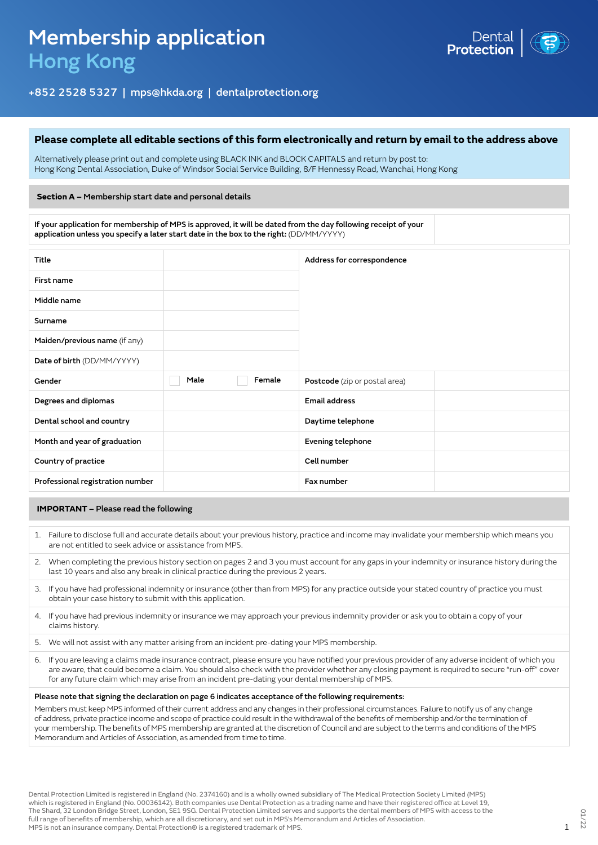

## +852 2528 5327 | mps@hkda.org | dentalprotection.org

#### **Please complete all editable sections of this form electronically and return by email to the address above**

Alternatively please print out and complete using BLACK INK and BLOCK CAPITALS and return by post to: Hong Kong Dental Association, Duke of Windsor Social Service Building, 8/F Hennessy Road, Wanchai, Hong Kong

#### **Section A –** Membership start date and personal details

If your application for membership of MPS is approved, it will be dated from the day following receipt of your application unless you specify a later start date in the box to the right: (DD/MM/YYYY)

| Title                            |      |        | Address for correspondence    |  |
|----------------------------------|------|--------|-------------------------------|--|
| First name                       |      |        |                               |  |
| Middle name                      |      |        |                               |  |
| Surname                          |      |        |                               |  |
| Maiden/previous name (if any)    |      |        |                               |  |
| Date of birth (DD/MM/YYYY)       |      |        |                               |  |
| Gender                           | Male | Female | Postcode (zip or postal area) |  |
| Degrees and diplomas             |      |        | <b>Email address</b>          |  |
| Dental school and country        |      |        | Daytime telephone             |  |
| Month and year of graduation     |      |        | Evening telephone             |  |
| Country of practice              |      |        | Cell number                   |  |
| Professional registration number |      |        | Fax number                    |  |

#### **IMPORTANT** – Please read the following

- 1. Failure to disclose full and accurate details about your previous history, practice and income may invalidate your membership which means you are not entitled to seek advice or assistance from MPS.
- 2. When completing the previous history section on pages 2 and 3 you must account for any gaps in your indemnity or insurance history during the last 10 years and also any break in clinical practice during the previous 2 years.
- 3. If you have had professional indemnity or insurance (other than from MPS) for any practice outside your stated country of practice you must obtain your case history to submit with this application.
- 4. If you have had previous indemnity or insurance we may approach your previous indemnity provider or ask you to obtain a copy of your claims history.
- 5. We will not assist with any matter arising from an incident pre-dating your MPS membership.
- 6. If you are leaving a claims made insurance contract, please ensure you have notified your previous provider of any adverse incident of which you are aware, that could become a claim. You should also check with the provider whether any closing payment is required to secure "run-off" cover for any future claim which may arise from an incident pre-dating your dental membership of MPS.

#### Please note that signing the declaration on page 6 indicates acceptance of the following requirements:

Members must keep MPS informed of their current address and any changes in their professional circumstances. Failure to notify us of any change of address, private practice income and scope of practice could result in the withdrawal of the benefits of membership and/or the termination of your membership. The benefits of MPS membership are granted at the discretion of Council and are subject to the terms and conditions of the MPS Memorandum and Articles of Association, as amended from time to time.

Dental Protection Limited is registered in England (No. 2374160) and is a wholly owned subsidiary of The Medical Protection Society Limited (MPS) which is registered in England (No. 00036142). Both companies use Dental Protection as a trading name and have their registered office at Level 19, The Shard, 32 London Bridge Street, London, SE1 9SG. Dental Protection Limited serves and supports the dental members of MPS with access to the full range of benefits of membership, which are all discretionary, and set out in MPS's Memorandum and Articles of Association. MPS is not an insurance company. Dental Protection® is a registered trademark of MPS. 1998. The second of MPS is not an insurance company. Dental Protection® is a registered trademark of MPS.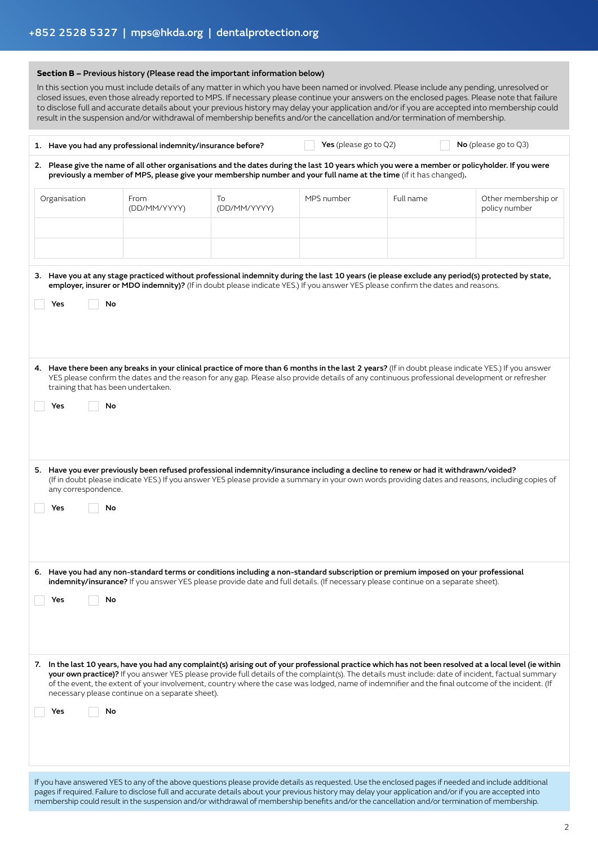|                                                 | Section B - Previous history (Please read the important information below) |                    |                          | result in the suspension and/or withdrawal of membership benefits and/or the cancellation and/or termination of membership.                                                                                                                                            | In this section you must include details of any matter in which you have been named or involved. Please include any pending, unresolved or<br>closed issues, even those already reported to MPS. If necessary please continue your answers on the enclosed pages. Please note that failure<br>to disclose full and accurate details about your previous history may delay your application and/or if you are accepted into membership could                       |
|-------------------------------------------------|----------------------------------------------------------------------------|--------------------|--------------------------|------------------------------------------------------------------------------------------------------------------------------------------------------------------------------------------------------------------------------------------------------------------------|-------------------------------------------------------------------------------------------------------------------------------------------------------------------------------------------------------------------------------------------------------------------------------------------------------------------------------------------------------------------------------------------------------------------------------------------------------------------|
|                                                 | 1. Have you had any professional indemnity/insurance before?               |                    | Yes (please go to $Q2$ ) |                                                                                                                                                                                                                                                                        | No (please go to $Q3$ )                                                                                                                                                                                                                                                                                                                                                                                                                                           |
|                                                 |                                                                            |                    |                          | previously a member of MPS, please give your membership number and your full name at the time (if it has changed).                                                                                                                                                     | 2. Please give the name of all other organisations and the dates during the last 10 years which you were a member or policyholder. If you were                                                                                                                                                                                                                                                                                                                    |
| Organisation                                    | From<br>(DD/MM/YYYY)                                                       | To<br>(DD/MM/YYYY) | MPS number               | Full name                                                                                                                                                                                                                                                              | Other membership or<br>policy number                                                                                                                                                                                                                                                                                                                                                                                                                              |
|                                                 |                                                                            |                    |                          |                                                                                                                                                                                                                                                                        |                                                                                                                                                                                                                                                                                                                                                                                                                                                                   |
| No<br>Yes                                       |                                                                            |                    |                          | employer, insurer or MDO indemnity)? (If in doubt please indicate YES.) If you answer YES please confirm the dates and reasons.                                                                                                                                        | 3. Have you at any stage practiced without professional indemnity during the last 10 years (ie please exclude any period(s) protected by state,                                                                                                                                                                                                                                                                                                                   |
| training that has been undertaken.<br>No<br>Yes |                                                                            |                    |                          |                                                                                                                                                                                                                                                                        | 4. Have there been any breaks in your clinical practice of more than 6 months in the last 2 years? (If in doubt please indicate YES.) If you answer<br>YES please confirm the dates and the reason for any gap. Please also provide details of any continuous professional development or refresher                                                                                                                                                               |
| any correspondence.<br>Yes No                   |                                                                            |                    |                          | 5. Have you ever previously been refused professional indemnity/insurance including a decline to renew or had it withdrawn/voided?                                                                                                                                     | (If in doubt please indicate YES.) If you answer YES please provide a summary in your own words providing dates and reasons, including copies of                                                                                                                                                                                                                                                                                                                  |
| No<br>Yes                                       |                                                                            |                    |                          | 6. Have you had any non-standard terms or conditions including a non-standard subscription or premium imposed on your professional<br>indemnity/insurance? If you answer YES please provide date and full details. (If necessary please continue on a separate sheet). |                                                                                                                                                                                                                                                                                                                                                                                                                                                                   |
| No<br>Yes                                       | necessary please continue on a separate sheet).                            |                    |                          |                                                                                                                                                                                                                                                                        | 7. In the last 10 years, have you had any complaint(s) arising out of your professional practice which has not been resolved at a local level (ie within<br>your own practice)? If you answer YES please provide full details of the complaint(s). The details must include: date of incident, factual summary<br>of the event, the extent of your involvement, country where the case was lodged, name of indemnifier and the final outcome of the incident. (If |

If you have answered YES to any of the above questions please provide details as requested. Use the enclosed pages if needed and include additional pages if required. Failure to disclose full and accurate details about your previous history may delay your application and/or if you are accepted into membership could result in the suspension and/or withdrawal of membership benefits and/or the cancellation and/or termination of membership.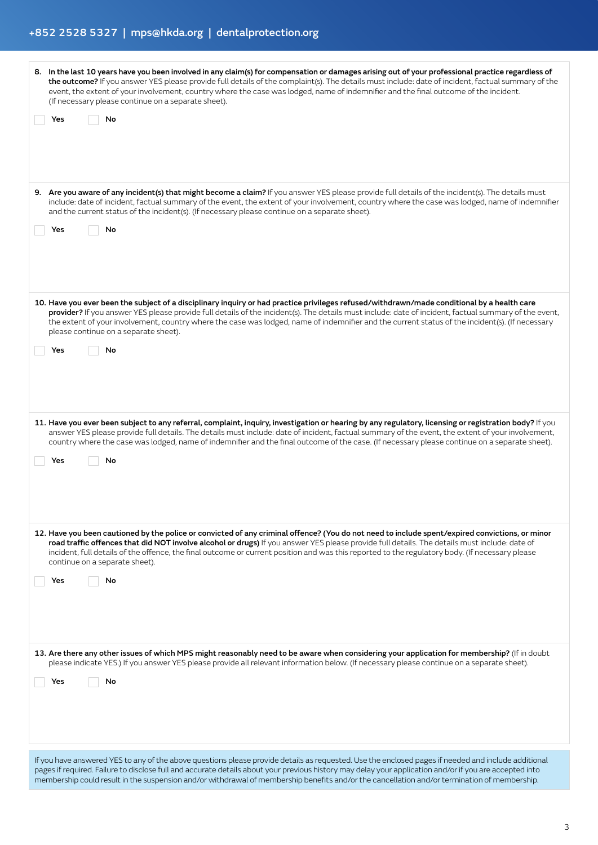# +852 2528 5327 | mps@hkda.org | dentalprotection.org

| 8. In the last 10 years have you been involved in any claim(s) for compensation or damages arising out of your professional practice regardless of<br>the outcome? If you answer YES please provide full details of the complaint(s). The details must include: date of incident, factual summary of the<br>event, the extent of your involvement, country where the case was lodged, name of indemnifier and the final outcome of the incident.<br>(If necessary please continue on a separate sheet). |
|---------------------------------------------------------------------------------------------------------------------------------------------------------------------------------------------------------------------------------------------------------------------------------------------------------------------------------------------------------------------------------------------------------------------------------------------------------------------------------------------------------|
| No<br>Yes                                                                                                                                                                                                                                                                                                                                                                                                                                                                                               |
|                                                                                                                                                                                                                                                                                                                                                                                                                                                                                                         |
|                                                                                                                                                                                                                                                                                                                                                                                                                                                                                                         |
|                                                                                                                                                                                                                                                                                                                                                                                                                                                                                                         |
| 9. Are you aware of any incident(s) that might become a claim? If you answer YES please provide full details of the incident(s). The details must<br>include: date of incident, factual summary of the event, the extent of your involvement, country where the case was lodged, name of indemnifier<br>and the current status of the incident(s). (If necessary please continue on a separate sheet).                                                                                                  |
| No<br>Yes                                                                                                                                                                                                                                                                                                                                                                                                                                                                                               |
|                                                                                                                                                                                                                                                                                                                                                                                                                                                                                                         |
|                                                                                                                                                                                                                                                                                                                                                                                                                                                                                                         |
|                                                                                                                                                                                                                                                                                                                                                                                                                                                                                                         |
| 10. Have you ever been the subject of a disciplinary inquiry or had practice privileges refused/withdrawn/made conditional by a health care                                                                                                                                                                                                                                                                                                                                                             |
| provider? If you answer YES please provide full details of the incident(s). The details must include: date of incident, factual summary of the event,<br>the extent of your involvement, country where the case was lodged, name of indemnifier and the current status of the incident(s). (If necessary<br>please continue on a separate sheet).                                                                                                                                                       |
| Yes<br>No                                                                                                                                                                                                                                                                                                                                                                                                                                                                                               |
|                                                                                                                                                                                                                                                                                                                                                                                                                                                                                                         |
|                                                                                                                                                                                                                                                                                                                                                                                                                                                                                                         |
|                                                                                                                                                                                                                                                                                                                                                                                                                                                                                                         |
|                                                                                                                                                                                                                                                                                                                                                                                                                                                                                                         |
| 11. Have you ever been subject to any referral, complaint, inquiry, investigation or hearing by any regulatory, licensing or registration body? If you<br>answer YES please provide full details. The details must include: date of incident, factual summary of the event, the extent of your involvement,<br>country where the case was lodged, name of indemnifier and the final outcome of the case. (If necessary please continue on a separate sheet).                                            |
| No<br>Yes                                                                                                                                                                                                                                                                                                                                                                                                                                                                                               |
|                                                                                                                                                                                                                                                                                                                                                                                                                                                                                                         |
|                                                                                                                                                                                                                                                                                                                                                                                                                                                                                                         |
|                                                                                                                                                                                                                                                                                                                                                                                                                                                                                                         |
|                                                                                                                                                                                                                                                                                                                                                                                                                                                                                                         |
| 12. Have you been cautioned by the police or convicted of any criminal offence? (You do not need to include spent/expired convictions, or minor<br>road traffic offences that did NOT involve alcohol or drugs) If you answer YES please provide full details. The details must include: date of<br>incident, full details of the offence, the final outcome or current position and was this reported to the regulatory body. (If necessary please<br>continue on a separate sheet).                   |
| No<br>Yes                                                                                                                                                                                                                                                                                                                                                                                                                                                                                               |
|                                                                                                                                                                                                                                                                                                                                                                                                                                                                                                         |
|                                                                                                                                                                                                                                                                                                                                                                                                                                                                                                         |
|                                                                                                                                                                                                                                                                                                                                                                                                                                                                                                         |
|                                                                                                                                                                                                                                                                                                                                                                                                                                                                                                         |
| 13. Are there any other issues of which MPS might reasonably need to be aware when considering your application for membership? (If in doubt<br>please indicate YES.) If you answer YES please provide all relevant information below. (If necessary please continue on a separate sheet).                                                                                                                                                                                                              |
| No<br>Yes                                                                                                                                                                                                                                                                                                                                                                                                                                                                                               |
|                                                                                                                                                                                                                                                                                                                                                                                                                                                                                                         |
|                                                                                                                                                                                                                                                                                                                                                                                                                                                                                                         |
|                                                                                                                                                                                                                                                                                                                                                                                                                                                                                                         |
|                                                                                                                                                                                                                                                                                                                                                                                                                                                                                                         |
| If you have answered YES to any of the above questions please provide details as requested. Use the enclosed pages if needed and include additional<br>pages if required. Failure to disclose full and accurate details about your previous history may delay your application and/or if you are accepted into                                                                                                                                                                                          |
| membership could result in the suspension and/or withdrawal of membership benefits and/or the cancellation and/or termination of membership.                                                                                                                                                                                                                                                                                                                                                            |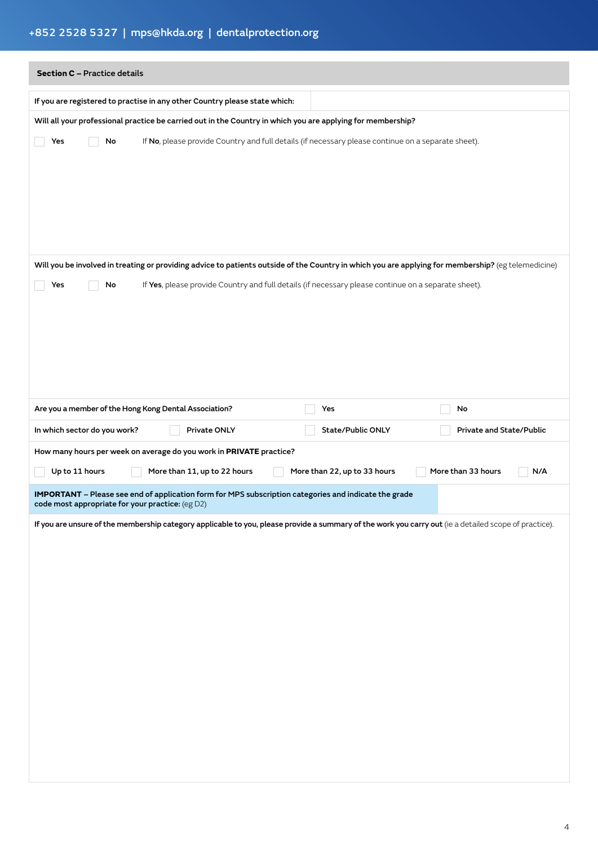# +852 2528 5327 | mps@hkda.org | dentalprotection.org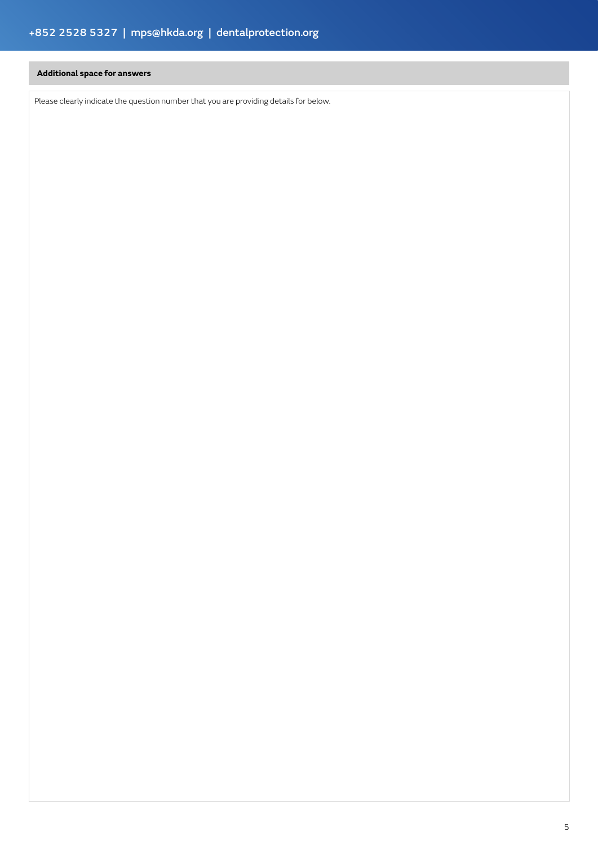### **Additional space for answers**

Please clearly indicate the question number that you are providing details for below.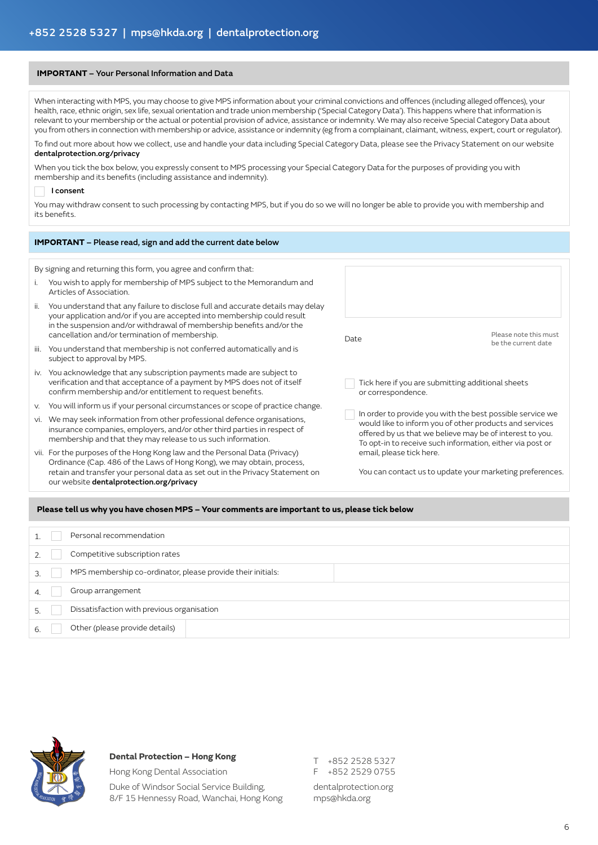#### **IMPORTANT** – Your Personal Information and Data

When interacting with MPS, you may choose to give MPS information about your criminal convictions and offences (including alleged offences), your health, race, ethnic origin, sex life, sexual orientation and trade union membership ('Special Category Data'). This happens where that information is relevant to your membership or the actual or potential provision of advice, assistance or indemnity. We may also receive Special Category Data about you from others in connection with membership or advice, assistance or indemnity (eg from a complainant, claimant, witness, expert, court or regulator).

To find out more about how we collect, use and handle your data including Special Category Data, please see the Privacy Statement on our website dentalprotection.org/privacy

#### When you tick the box below, you expressly consent to MPS processing your Special Category Data for the purposes of providing you with membership and its benefits (including assistance and indemnity).

#### I consent

You may withdraw consent to such processing by contacting MPS, but if you do so we will no longer be able to provide you with membership and its benefits.

| <b>IMPORTANT</b> - Please read, sign and add the current date below                                                                                                                                                                                               |                                                                                                                                                                                                                                               |  |
|-------------------------------------------------------------------------------------------------------------------------------------------------------------------------------------------------------------------------------------------------------------------|-----------------------------------------------------------------------------------------------------------------------------------------------------------------------------------------------------------------------------------------------|--|
|                                                                                                                                                                                                                                                                   |                                                                                                                                                                                                                                               |  |
| You wish to apply for membership of MPS subject to the Memorandum and                                                                                                                                                                                             |                                                                                                                                                                                                                                               |  |
| You understand that any failure to disclose full and accurate details may delay<br>your application and/or if you are accepted into membership could result<br>in the suspension and/or withdrawal of membership benefits and/or the                              | Please note this must                                                                                                                                                                                                                         |  |
| You understand that membership is not conferred automatically and is                                                                                                                                                                                              | be the current date                                                                                                                                                                                                                           |  |
| iv. You acknowledge that any subscription payments made are subject to<br>verification and that acceptance of a payment by MPS does not of itself<br>or correspondence.                                                                                           | Tick here if you are submitting additional sheets                                                                                                                                                                                             |  |
| You will inform us if your personal circumstances or scope of practice change.                                                                                                                                                                                    |                                                                                                                                                                                                                                               |  |
| We may seek information from other professional defence organisations,<br>insurance companies, employers, and/or other third parties in respect of<br>membership and that they may release to us such information.                                                | In order to provide you with the best possible service we<br>would like to inform you of other products and services<br>offered by us that we believe may be of interest to you.<br>To opt-in to receive such information, either via post or |  |
| email, please tick here.<br>vii. For the purposes of the Hong Kong law and the Personal Data (Privacy)<br>Ordinance (Cap. 486 of the Laws of Hong Kong), we may obtain, process,<br>retain and transfer your personal data as set out in the Privacy Statement on | You can contact us to update your marketing preferences.                                                                                                                                                                                      |  |
|                                                                                                                                                                                                                                                                   | Date                                                                                                                                                                                                                                          |  |

#### **Please tell us why you have chosen MPS – Your comments are important to us, please tick below**

|  | Personal recommendation                                     |
|--|-------------------------------------------------------------|
|  | Competitive subscription rates                              |
|  | MPS membership co-ordinator, please provide their initials: |
|  | Group arrangement                                           |
|  | Dissatisfaction with previous organisation                  |
|  | Other (please provide details)                              |
|  |                                                             |



#### **Dental Protection – Hong Kong**

Hong Kong Dental Association Duke of Windsor Social Service Building, 8/F 15 Hennessy Road, Wanchai, Hong Kong T +852 2528 5327 F +852 2529 0755 dentalprotection.org mps@hkda.org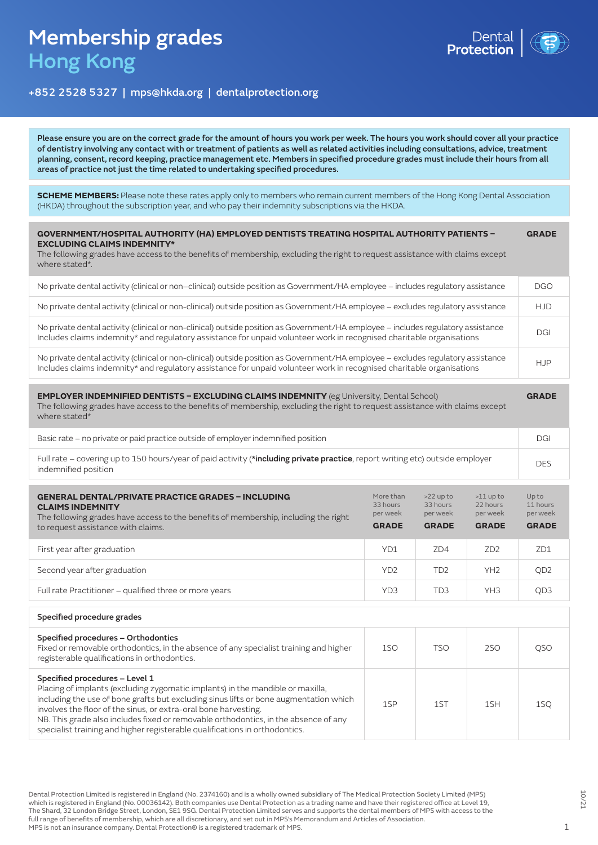# Membership grades Hong Kong



## +852 2528 5327 | mps@hkda.org | dentalprotection.org

Please ensure you are on the correct grade for the amount of hours you work per week. The hours you work should cover all your practice of dentistry involving any contact with or treatment of patients as well as related activities including consultations, advice, treatment planning, consent, record keeping, practice management etc. Members in specified procedure grades must include their hours from all areas of practice not just the time related to undertaking specified procedures.

**SCHEME MEMBERS:** Please note these rates apply only to members who remain current members of the Hong Kong Dental Association (HKDA) throughout the subscription year, and who pay their indemnity subscriptions via the HKDA.

| <b>GOVERNMENT/HOSPITAL AUTHORITY (HA) EMPLOYED DENTISTS TREATING HOSPITAL AUTHORITY PATIENTS -</b><br><b>EXCLUDING CLAIMS INDEMNITY*</b><br>The following grades have access to the benefits of membership, excluding the right to request assistance with claims except<br>where stated*. | <b>GRADE</b> |
|--------------------------------------------------------------------------------------------------------------------------------------------------------------------------------------------------------------------------------------------------------------------------------------------|--------------|
| No private dental activity (clinical or non-clinical) outside position as Government/HA employee - includes regulatory assistance                                                                                                                                                          | <b>DGO</b>   |
| No private dental activity (clinical or non-clinical) outside position as Government/HA employee - excludes regulatory assistance                                                                                                                                                          | <b>HJD</b>   |
| No private dental activity (clinical or non-clinical) outside position as Government/HA employee – includes regulatory assistance<br>Includes claims indemnity* and regulatory assistance for unpaid volunteer work in recognised charitable organisations                                 | DGI          |
| No private dental activity (clinical or non-clinical) outside position as Government/HA employee - excludes regulatory assistance<br>Includes claims indemnity* and regulatory assistance for unpaid volunteer work in recognised charitable organisations                                 | <b>HJP</b>   |

**EMPLOYER INDEMNIFIED DENTISTS – EXCLUDING CLAIMS INDEMNITY** (eg University, Dental School) The following grades have access to the benefits of membership, excluding the right to request assistance with claims except where stated<sup>\*</sup> **GRADE**

| Basic rate – no private or paid practice outside of employer indemnified position                                                                     | DGI        |
|-------------------------------------------------------------------------------------------------------------------------------------------------------|------------|
| Full rate – covering up to 150 hours/year of paid activity (*including private practice, report writing etc) outside employer<br>indemnified position | <b>DES</b> |

| <b>GENERAL DENTAL/PRIVATE PRACTICE GRADES - INCLUDING</b><br><b>CLAIMS INDEMNITY</b><br>The following grades have access to the benefits of membership, including the right<br>to request assistance with claims. | More than<br>33 hours<br>per week<br><b>GRADE</b> | $>22$ up to<br>33 hours<br>per week<br><b>GRADE</b> | $>11$ up to<br>22 hours<br>per week<br><b>GRADE</b> | Up to<br>11 hours<br>per week<br><b>GRADE</b> |
|-------------------------------------------------------------------------------------------------------------------------------------------------------------------------------------------------------------------|---------------------------------------------------|-----------------------------------------------------|-----------------------------------------------------|-----------------------------------------------|
| First year after graduation                                                                                                                                                                                       | YD1                                               | ZD4                                                 | ZD <sub>2</sub>                                     | ZD1                                           |
| Second year after graduation                                                                                                                                                                                      | YD <sub>2</sub>                                   | TD <sub>2</sub>                                     | YH <sub>2</sub>                                     | QD <sub>2</sub>                               |
| Full rate Practitioner - qualified three or more years                                                                                                                                                            | YD <sub>3</sub>                                   | TD <sub>3</sub>                                     | YH <sub>3</sub>                                     | QD <sub>3</sub>                               |

| Specified procedure grades                                                                                                                                                                                                                                                                                                                                                                                                                         |     |            |        |     |
|----------------------------------------------------------------------------------------------------------------------------------------------------------------------------------------------------------------------------------------------------------------------------------------------------------------------------------------------------------------------------------------------------------------------------------------------------|-----|------------|--------|-----|
| Specified procedures - Orthodontics<br>Fixed or removable orthodontics, in the absence of any specialist training and higher<br>registerable qualifications in orthodontics.                                                                                                                                                                                                                                                                       | 1SO | <b>TSO</b> | 250    |     |
| Specified procedures - Level 1<br>Placing of implants (excluding zygomatic implants) in the mandible or maxilla,<br>including the use of bone grafts but excluding sinus lifts or bone augmentation which<br>involves the floor of the sinus, or extra-oral bone harvesting.<br>NB. This grade also includes fixed or removable orthodontics, in the absence of any<br>specialist training and higher registerable qualifications in orthodontics. | 1SP | 15T        | $1$ SH | 1SO |

Dental Protection Limited is registered in England (No. 2374160) and is a wholly owned subsidiary of The Medical Protection Society Limited (MPS) which is registered in England (No. 00036142). Both companies use Dental Protection as a trading name and have their registered office at Level 19, The Shard, 32 London Bridge Street, London, SE1 9SG. Dental Protection Limited serves and supports the dental members of MPS with access to the full range of benefits of membership, which are all discretionary, and set out in MPS's Memorandum and Articles of Association. MPS is not an insurance company. Dental Protection® is a registered trademark of MPS.

10/21

1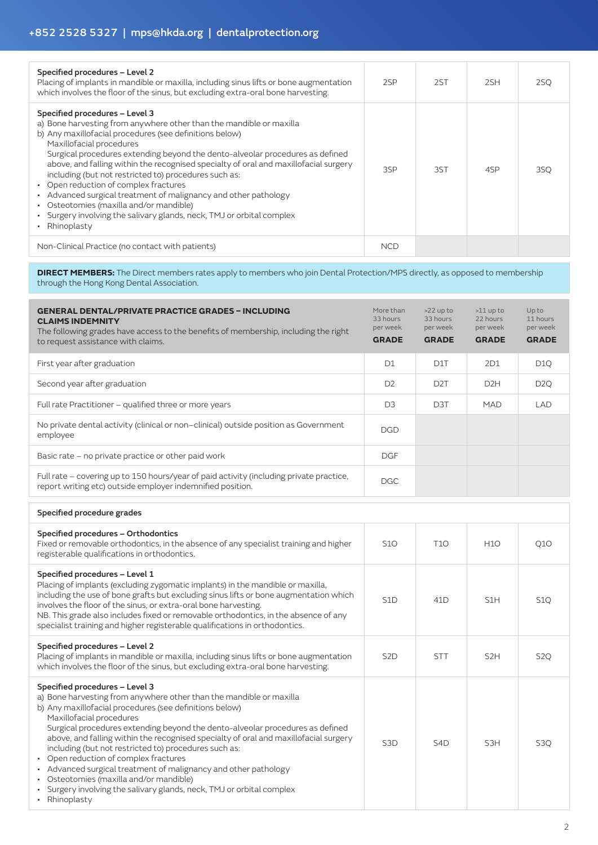| Specified procedures - Level 2<br>Placing of implants in mandible or maxilla, including sinus lifts or bone augmentation<br>which involves the floor of the sinus, but excluding extra-oral bone harvesting.                                                                                                                                                                                                                                                                                                                                                                                                                                                                  | 2SP        | 2ST | 2SH | 2SQ |
|-------------------------------------------------------------------------------------------------------------------------------------------------------------------------------------------------------------------------------------------------------------------------------------------------------------------------------------------------------------------------------------------------------------------------------------------------------------------------------------------------------------------------------------------------------------------------------------------------------------------------------------------------------------------------------|------------|-----|-----|-----|
| Specified procedures - Level 3<br>a) Bone harvesting from anywhere other than the mandible or maxilla<br>b) Any maxillofacial procedures (see definitions below)<br>Maxillofacial procedures<br>Surgical procedures extending beyond the dento-alveolar procedures as defined<br>above, and falling within the recognised specialty of oral and maxillofacial surgery<br>including (but not restricted to) procedures such as:<br>• Open reduction of complex fractures<br>• Advanced surgical treatment of malignancy and other pathology<br>• Osteotomies (maxilla and/or mandible)<br>· Surgery involving the salivary glands, neck, TMJ or orbital complex<br>Rhinoplasty | 3SP        | 3ST | 4SP | 3SQ |
| Non-Clinical Practice (no contact with patients)                                                                                                                                                                                                                                                                                                                                                                                                                                                                                                                                                                                                                              | <b>NCD</b> |     |     |     |

**DIRECT MEMBERS:** The Direct members rates apply to members who join Dental Protection/MPS directly, as opposed to membership through the Hong Kong Dental Association.

| <b>GENERAL DENTAL/PRIVATE PRACTICE GRADES - INCLUDING</b><br><b>CLAIMS INDEMNITY</b><br>The following grades have access to the benefits of membership, including the right<br>to request assistance with claims. | More than<br>33 hours<br>per week<br><b>GRADE</b> | $>22$ up to<br>33 hours<br>per week<br><b>GRADE</b> | $>11$ up to<br>22 hours<br>per week<br><b>GRADE</b> | Up to<br>11 hours<br>per week<br><b>GRADE</b> |
|-------------------------------------------------------------------------------------------------------------------------------------------------------------------------------------------------------------------|---------------------------------------------------|-----------------------------------------------------|-----------------------------------------------------|-----------------------------------------------|
| First year after graduation                                                                                                                                                                                       | D <sub>1</sub>                                    | D <sub>1</sub> T                                    | 2D1                                                 | D <sub>1</sub> Q                              |
| Second year after graduation                                                                                                                                                                                      | D <sub>2</sub>                                    | D <sub>2</sub> T                                    | D <sub>2</sub> H                                    | D <sub>2</sub> Q                              |
| Full rate Practitioner - qualified three or more years                                                                                                                                                            | D <sub>3</sub>                                    | D <sub>3</sub> T                                    | <b>MAD</b>                                          | LAD                                           |
| No private dental activity (clinical or non-clinical) outside position as Government<br>employee                                                                                                                  | <b>DGD</b>                                        |                                                     |                                                     |                                               |
| Basic rate - no private practice or other paid work                                                                                                                                                               | <b>DGF</b>                                        |                                                     |                                                     |                                               |
| Full rate – covering up to 150 hours/year of paid activity (including private practice,<br>report writing etc) outside employer indemnified position.                                                             | DGC.                                              |                                                     |                                                     |                                               |

| Specified procedure grades                                                                                                                                                                                                                                                                                                                                                                                                                                                                                                                                                                                                                                                    |                  |                  |                  |                  |
|-------------------------------------------------------------------------------------------------------------------------------------------------------------------------------------------------------------------------------------------------------------------------------------------------------------------------------------------------------------------------------------------------------------------------------------------------------------------------------------------------------------------------------------------------------------------------------------------------------------------------------------------------------------------------------|------------------|------------------|------------------|------------------|
| Specified procedures - Orthodontics<br>Fixed or removable orthodontics, in the absence of any specialist training and higher<br>registerable qualifications in orthodontics.                                                                                                                                                                                                                                                                                                                                                                                                                                                                                                  | <b>S10</b>       | <b>T10</b>       | <b>H10</b>       | Q1O              |
| Specified procedures - Level 1<br>Placing of implants (excluding zygomatic implants) in the mandible or maxilla,<br>including the use of bone grafts but excluding sinus lifts or bone augmentation which<br>involves the floor of the sinus, or extra-oral bone harvesting.<br>NB. This grade also includes fixed or removable orthodontics, in the absence of any<br>specialist training and higher registerable qualifications in orthodontics.                                                                                                                                                                                                                            | S <sub>1</sub> D | 41D              | S <sub>1</sub> H | <b>S10</b>       |
| Specified procedures - Level 2<br>Placing of implants in mandible or maxilla, including sinus lifts or bone augmentation<br>which involves the floor of the sinus, but excluding extra-oral bone harvesting.                                                                                                                                                                                                                                                                                                                                                                                                                                                                  | S <sub>2</sub> D | <b>STT</b>       | S <sub>2H</sub>  | S <sub>2</sub> Q |
| Specified procedures - Level 3<br>a) Bone harvesting from anywhere other than the mandible or maxilla<br>b) Any maxillofacial procedures (see definitions below)<br>Maxillofacial procedures<br>Surgical procedures extending beyond the dento-alveolar procedures as defined<br>above, and falling within the recognised specialty of oral and maxillofacial surgery<br>including (but not restricted to) procedures such as:<br>• Open reduction of complex fractures<br>• Advanced surgical treatment of malignancy and other pathology<br>• Osteotomies (maxilla and/or mandible)<br>• Surgery involving the salivary glands, neck, TMJ or orbital complex<br>Rhinoplasty | S <sub>3</sub> D | S <sub>4</sub> D | S <sub>3</sub> H | S <sub>3</sub> Q |